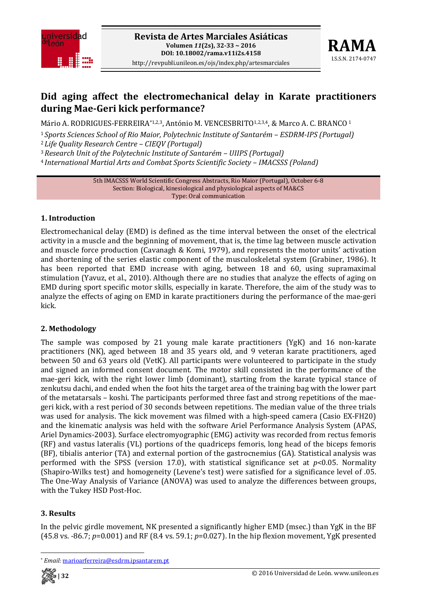



# **Did aging affect the electromechanical delay in Karate practitioners during MaeGeri kick performance?**

Mário A. RODRIGUES-FERREIRA\*1,2,3, António M. VENCESBRITO<sup>1,2,3,4</sup>, & Marco A. C. BRANCO<sup>1</sup>

<sup>1</sup>*Sports Sciences School of Rio Maior, Polytechnic Institute of Santarém – ESDRMIPS (Portugal)* <sup>2</sup>*Life Quality Research Centre – CIEQV (Portugal)*

<sup>3</sup>*Research Unit of the Polytechnic Institute of Santarém – UIIPS (Portugal)*

<sup>4</sup>*International Martial Arts and Combat Sports Scientific Society – IMACSSS (Poland)*

5th IMACSSS World Scientific Congress Abstracts, Rio Maior (Portugal), October 6‐8 Section: Biological, kinesiological and physiological aspects of MA&CS Type: Oral communication

### **1. Introduction**

Electromechanical delay (EMD) is defined as the time interval between the onset of the electrical activity in a muscle and the beginning of movement, that is, the time lag between muscle activation and muscle force production (Cavanagh & Komi, 1979), and represents the motor units' activation and shortening of the series elastic component of the musculoskeletal system (Grabiner, 1986). It has been reported that EMD increase with aging, between 18 and 60, using supramaximal stimulation (Yavuz, et al., 2010). Although there are no studies that analyze the effects of aging on EMD during sport specific motor skills, especially in karate. Therefore, the aim of the study was to analyze the effects of aging on EMD in karate practitioners during the performance of the mae‐geri kick.

## **2. Methodology**

The sample was composed by 21 young male karate practitioners (YgK) and 16 non-karate practitioners (NK), aged between 18 and 35 years old, and 9 veteran karate practitioners, aged between 50 and 63 years old (VetK). All participants were volunteered to participate in the study and signed an informed consent document. The motor skill consisted in the performance of the mae-geri kick, with the right lower limb (dominant), starting from the karate typical stance of zenkutsu dachi, and ended when the foot hits the target area of the training bag with the lower part of the metatarsals – koshi. The participants performed three fast and strong repetitions of the mae‐ geri kick, with a rest period of 30 seconds between repetitions. The median value of the three trials was used for analysis. The kick movement was filmed with a high-speed camera (Casio EX-FH20) and the kinematic analysis was held with the software Ariel Performance Analysis System (APAS, Ariel Dynamics‐2003). Surface electromyographic (EMG) activity was recorded from rectus femoris (RF) and vastus lateralis (VL) portions of the quadriceps femoris, long head of the biceps femoris (BF), tibialis anterior (TA) and external portion of the gastrocnemius (GA). Statistical analysis was performed with the SPSS (version 17.0), with statistical significance set at  $p<0.05$ . Normality (Shapiro‐Wilks test) and homogeneity (Levene's test) were satisfied for a significance level of .05. The One-Way Analysis of Variance (ANOVA) was used to analyze the differences between groups, with the Tukey HSD Post-Hoc.

## **3. Results**

In the pelvic girdle movement, NK presented a significantly higher EMD (msec.) than YgK in the BF (45.8 vs. ‐86.7; *p*=0.001) and RF (8.4 vs. 59.1; *p*=0.027). In the hip flexion movement, YgK presented

<sup>\*</sup> *Email:* marioarferreira@esdrm.ipsantarem.pt